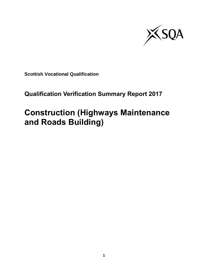

**Scottish Vocational Qualification**

## **Qualification Verification Summary Report 2017**

# **Construction (Highways Maintenance and Roads Building)**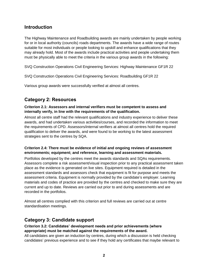## **Introduction**

The Highway Maintenance and Roadbuilding awards are mainly undertaken by people working for or in local authority (councils) roads departments. The awards have a wide range of routes suitable for most individuals or people looking to upskill and enhance qualifications that they may already hold. Most of the awards include practical activities and people undertaking them must be physically able to meet the criteria in the various group awards in the following:

SVQ Construction Operations Civil Engineering Services: Highway Maintenance GF1R 22

SVQ Construction Operations Civil Engineering Services: Roadbuilding GF1R 22

Various group awards were successfully verified at almost all centres.

## **Category 2: Resources**

#### **Criterion 2.1: Assessors and internal verifiers must be competent to assess and internally verify, in line with the requirements of the qualification.**

Almost all centre staff had the relevant qualifications and industry experience to deliver these awards, and had undertaken various activities/courses, and recorded the information to meet the requirements of CPD. Assessors/internal verifiers at almost all centres hold the required qualification to deliver the awards, and were found to be working to the latest assessment strategies sent to the centres by SQA.

### **Criterion 2.4: There must be evidence of initial and ongoing reviews of assessment environments; equipment; and reference, learning and assessment materials.**

Portfolios developed by the centres meet the awards standards and SQAs requirements. Assessors complete a risk assessment/visual inspection prior to any practical assessment taken place as the evidence is generated on live sites. Equipment required is detailed in the assessment standards and assessors check that equipment is fit for purpose and meets the assessment criteria. Equipment is normally provided by the candidate's employer. Learning materials and codes of practice are provided by the centres and checked to make sure they are current and up to date. Reviews are carried out prior to and during assessments and are recorded in the portfolios.

Almost all centres complied with this criterion and full reviews are carried out at centre standardisation meetings.

## **Category 3: Candidate support**

### **Criterion 3.2: Candidates' development needs and prior achievements (where appropriate) must be matched against the requirements of the award.**

All candidates are given an induction by centres, during which a discussion is held checking candidates' previous experience and to see if they hold any certificates that maybe relevant to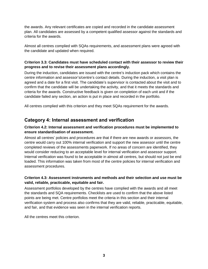the awards. Any relevant certificates are copied and recorded in the candidate assessment plan. All candidates are assessed by a competent qualified assessor against the standards and criteria for the awards.

Almost all centres complied with SQAs requirements, and assessment plans were agreed with the candidate and updated when required.

### **Criterion 3.3: Candidates must have scheduled contact with their assessor to review their progress and to revise their assessment plans accordingly.**

During the induction, candidates are issued with the centre's induction pack which contains the centre information and assessor's/centre's contact details. During the induction, a visit plan is agreed and a date for a first visit. The candidate's supervisor is contacted about the visit and to confirm that the candidate will be undertaking the activity, and that it meets the standards and criteria for the awards. Constructive feedback is given on completion of each unit and if the candidate failed any section, an action is put in place and recorded in the portfolio.

All centres complied with this criterion and they meet SQAs requirement for the awards.

## **Category 4: Internal assessment and verification**

## **Criterion 4.2: Internal assessment and verification procedures must be implemented to ensure standardisation of assessment.**

Almost all centres' policies and procedures are that if there are new awards or assessors, the centre would carry out 100% internal verification and support the new assessor until the centre completed reviews of the assessments paperwork. If no areas of concern are identified, they would consider reducing to an acceptable level for internal verification and assessor support. Internal verification was found to be acceptable in almost all centres, but should not just be end loaded. This information was taken from most of the centre policies for internal verification and assessment procedures.

## **Criterion 4.3: Assessment instruments and methods and their selection and use must be valid, reliable, practicable, equitable and fair.**

Assessment portfolios developed by the centres have complied with the awards and all meet the standards and SQA requirements. Checklists are used to confirm that the above listed points are being met. Centre portfolios meet the criteria in this section and their internal verification system and process also confirms that they are valid, reliable, practicable, equitable, and fair, and that evidence was seen in the internal verification reports.

All the centres meet this criterion.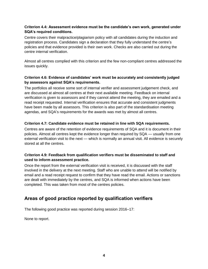## **Criterion 4.4: Assessment evidence must be the candidate's own work, generated under SQA's required conditions.**

Centre covers their malpractice/plagiarism policy with all candidates during the induction and registration process. Candidates sign a declaration that they fully understand the centre's policies and that evidence provided is their own work. Checks are also carried out during the centre internal verification.

Almost all centres complied with this criterion and the few non-compliant centres addressed the issues quickly.

### **Criterion 4.6: Evidence of candidates' work must be accurately and consistently judged by assessors against SQA's requirements.**

The portfolios all receive some sort of internal verifier and assessment judgement check, and are discussed at almost all centres at their next available meeting. Feedback on internal verification is given to assessors and if they cannot attend the meeting, they are emailed and a read receipt requested. Internal verification ensures that accurate and consistent judgments have been made by all assessors. This criterion is also part of the standardisation meeting agendas, and SQA's requirements for the awards was met by almost all centres.

#### **Criterion 4.7: Candidate evidence must be retained in line with SQA requirements.**

Centres are aware of the retention of evidence requirements of SQA and it is document in their policies. Almost all centres kept the evidence longer than required by SQA — usually from one external verification visit to the next — which is normally an annual visit. All evidence is securely stored at all the centres.

### **Criterion 4.9: Feedback from qualification verifiers must be disseminated to staff and used to inform assessment practice.**

Once the report from the external verification visit is received, it is discussed with the staff involved in the delivery at the next meeting. Staff who are unable to attend will be notified by email and a read receipt request to confirm that they have read the email. Actions or sanctions are dealt with immediately by the centres, and SQA is informed when actions have been completed. This was taken from most of the centres policies.

## **Areas of good practice reported by qualification verifiers**

The following good practice was reported during session 2016–17:

None to report.